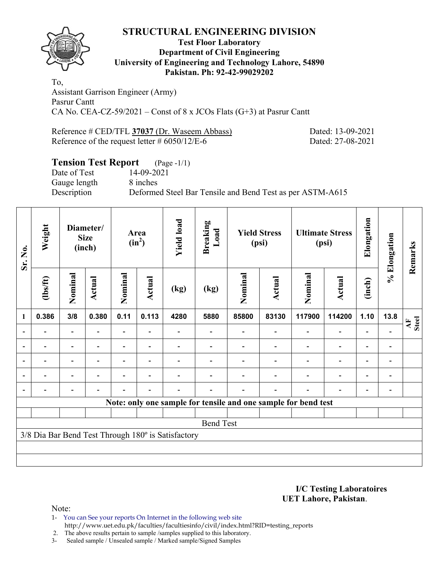

#### **Test Floor Laboratory Department of Civil Engineering University of Engineering and Technology Lahore, 54890 Pakistan. Ph: 92-42-99029202**

To, Assistant Garrison Engineer (Army) Pasrur Cantt CA No. CEA-CZ-59/2021 – Const of  $8 \times$  JCOs Flats (G+3) at Pasrur Cantt

Reference # CED/TFL **37037** (Dr. Waseem Abbass) Dated: 13-09-2021 Reference of the request letter # 6050/12/E-6 Dated: 27-08-2021

# **Tension Test Report** (Page -1/1)

Date of Test 14-09-2021 Gauge length 8 inches

Description Deformed Steel Bar Tensile and Bend Test as per ASTM-A615

| Sr. No.        | Weight           | Diameter/<br><b>Size</b><br>(inch) |        | Area<br>$(in^2)$ |                          | <b>Yield load</b>                                  | <b>Breaking</b><br>Load                                        | <b>Yield Stress</b><br>(psi) |        | <b>Ultimate Stress</b><br>(psi) |                          | Elongation               | % Elongation   | Remarks     |
|----------------|------------------|------------------------------------|--------|------------------|--------------------------|----------------------------------------------------|----------------------------------------------------------------|------------------------------|--------|---------------------------------|--------------------------|--------------------------|----------------|-------------|
|                | (1bs/ft)         | Nominal                            | Actual | Nominal          | <b>Actual</b>            | (kg)                                               | (kg)                                                           | Nominal                      | Actual | Nominal                         | <b>Actual</b>            | (inch)                   |                |             |
| 1              | 0.386            | 3/8                                | 0.380  | 0.11             | 0.113                    | 4280                                               | 5880                                                           | 85800                        | 83130  | 117900                          | 114200                   | 1.10                     | 13.8           | AF<br>Steel |
|                |                  |                                    |        |                  |                          |                                                    |                                                                |                              |        |                                 |                          |                          |                |             |
|                |                  | $\overline{\phantom{0}}$           |        |                  |                          |                                                    |                                                                |                              |        |                                 |                          |                          |                |             |
| $\blacksquare$ |                  | $\overline{\phantom{0}}$           |        |                  |                          |                                                    |                                                                |                              |        |                                 | $\blacksquare$           | $\blacksquare$           | $\blacksquare$ |             |
|                |                  | $\blacksquare$                     |        |                  | $\overline{\phantom{0}}$ |                                                    |                                                                |                              |        |                                 | $\overline{\phantom{0}}$ | $\overline{\phantom{0}}$ |                |             |
|                |                  | $\overline{\phantom{0}}$           | ۰      |                  | $\overline{\phantom{0}}$ |                                                    |                                                                |                              |        |                                 |                          | ۰                        |                |             |
|                |                  |                                    |        |                  |                          |                                                    | Note: only one sample for tensile and one sample for bend test |                              |        |                                 |                          |                          |                |             |
|                |                  |                                    |        |                  |                          |                                                    |                                                                |                              |        |                                 |                          |                          |                |             |
|                | <b>Bend Test</b> |                                    |        |                  |                          |                                                    |                                                                |                              |        |                                 |                          |                          |                |             |
|                |                  |                                    |        |                  |                          | 3/8 Dia Bar Bend Test Through 180° is Satisfactory |                                                                |                              |        |                                 |                          |                          |                |             |
|                |                  |                                    |        |                  |                          |                                                    |                                                                |                              |        |                                 |                          |                          |                |             |
|                |                  |                                    |        |                  |                          |                                                    |                                                                |                              |        |                                 |                          |                          |                |             |

**I/C Testing Laboratoires UET Lahore, Pakistan**.

Note:

1- You can See your reports On Internet in the following web site http://www.uet.edu.pk/faculties/facultiesinfo/civil/index.html?RID=testing\_reports

2. The above results pertain to sample /samples supplied to this laboratory.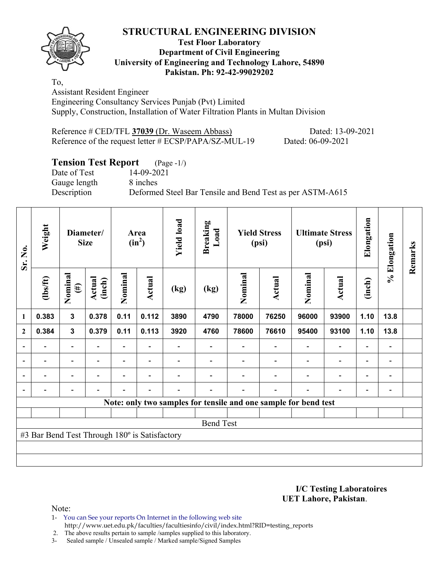

### **Test Floor Laboratory Department of Civil Engineering University of Engineering and Technology Lahore, 54890 Pakistan. Ph: 92-42-99029202**

To, Assistant Resident Engineer Engineering Consultancy Services Punjab (Pvt) Limited Supply, Construction, Installation of Water Filtration Plants in Multan Division

Reference # CED/TFL **37039** (Dr. Waseem Abbass) Dated: 13-09-2021 Reference of the request letter # ECSP/PAPA/SZ-MUL-19 Dated: 06-09-2021

# **Tension Test Report** (Page -1/)

Date of Test 14-09-2021 Gauge length 8 inches

Description Deformed Steel Bar Tensile and Bend Test as per ASTM-A615

| Sr. No.                  | Weight                                        | Diameter/<br><b>Size</b> |                          | Area<br>$(in^2)$ |                          | <b>Yield load</b>        | <b>Breaking</b><br>Load                                         | <b>Yield Stress</b><br>(psi) |                          | <b>Ultimate Stress</b><br>(psi) |                          | Elongation               | % Elongation             | Remarks |
|--------------------------|-----------------------------------------------|--------------------------|--------------------------|------------------|--------------------------|--------------------------|-----------------------------------------------------------------|------------------------------|--------------------------|---------------------------------|--------------------------|--------------------------|--------------------------|---------|
|                          | $\frac{2}{10}$                                | Nominal<br>$(\#)$        | Actual<br>(inch)         | Nominal          | Actual                   | (kg)                     | (kg)                                                            | Nominal                      | Actual                   | Nominal                         | Actual                   | (inch)                   |                          |         |
| 1                        | 0.383                                         | $\mathbf{3}$             | 0.378                    | 0.11             | 0.112                    | 3890                     | 4790                                                            | 78000                        | 76250                    | 96000                           | 93900                    | 1.10                     | 13.8                     |         |
| $\mathbf{2}$             | 0.384                                         | $\mathbf{3}$             | 0.379                    | 0.11             | 0.113                    | 3920                     | 4760                                                            | 78600                        | 76610                    | 95400                           | 93100                    | 1.10                     | 13.8                     |         |
|                          |                                               | $\overline{\phantom{0}}$ |                          |                  |                          |                          |                                                                 |                              |                          |                                 | $\overline{\phantom{a}}$ | $\overline{\phantom{0}}$ |                          |         |
| $\overline{\phantom{0}}$ | $\overline{\phantom{0}}$                      | $\blacksquare$           | $\blacksquare$           |                  | $\blacksquare$           |                          |                                                                 |                              | $\overline{\phantom{0}}$ | $\overline{a}$                  | $\overline{\phantom{a}}$ | $\overline{\phantom{a}}$ | $\overline{\phantom{a}}$ |         |
| $\blacksquare$           |                                               | $\overline{\phantom{0}}$ | $\overline{\phantom{0}}$ |                  | $\overline{\phantom{a}}$ |                          |                                                                 |                              |                          | $\overline{\phantom{0}}$        | $\overline{\phantom{a}}$ | -                        | $\overline{\phantom{a}}$ |         |
| $\blacksquare$           | $\overline{\phantom{0}}$                      | $\blacksquare$           | $\overline{\phantom{0}}$ | $\blacksquare$   | $\overline{\phantom{a}}$ | $\overline{\phantom{0}}$ |                                                                 |                              | $\blacksquare$           | $\blacksquare$                  | $\overline{\phantom{a}}$ | $\blacksquare$           | $\overline{\phantom{a}}$ |         |
|                          |                                               |                          |                          |                  |                          |                          | Note: only two samples for tensile and one sample for bend test |                              |                          |                                 |                          |                          |                          |         |
|                          |                                               |                          |                          |                  |                          |                          |                                                                 |                              |                          |                                 |                          |                          |                          |         |
|                          | <b>Bend Test</b>                              |                          |                          |                  |                          |                          |                                                                 |                              |                          |                                 |                          |                          |                          |         |
|                          | #3 Bar Bend Test Through 180° is Satisfactory |                          |                          |                  |                          |                          |                                                                 |                              |                          |                                 |                          |                          |                          |         |
|                          |                                               |                          |                          |                  |                          |                          |                                                                 |                              |                          |                                 |                          |                          |                          |         |
|                          |                                               |                          |                          |                  |                          |                          |                                                                 |                              |                          |                                 |                          |                          |                          |         |

**I/C Testing Laboratoires UET Lahore, Pakistan**.

Note:

1- You can See your reports On Internet in the following web site http://www.uet.edu.pk/faculties/facultiesinfo/civil/index.html?RID=testing\_reports

2. The above results pertain to sample /samples supplied to this laboratory.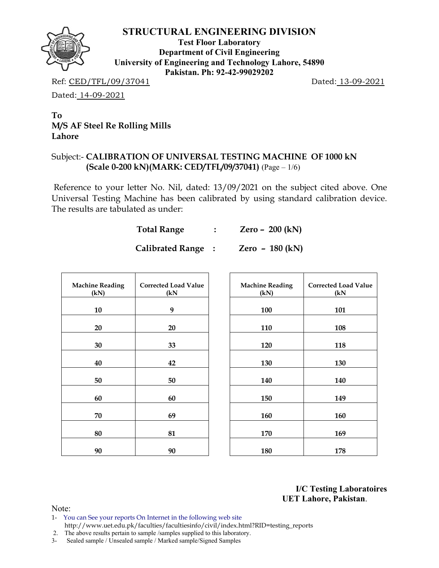

**Test Floor Laboratory Department of Civil Engineering University of Engineering and Technology Lahore, 54890 Pakistan. Ph: 92-42-99029202** 

Ref: CED/TFL/09/37041 Dated: 13-09-2021

Dated: 14-09-2021

## **To M/S AF Steel Re Rolling Mills Lahore**

## Subject:- **CALIBRATION OF UNIVERSAL TESTING MACHINE OF 1000 kN (Scale 0-200 kN)(MARK: CED/TFL/09/37041)** (Page – 1/6)

Reference to your letter No. Nil, dated: 13/09/2021 on the subject cited above. One Universal Testing Machine has been calibrated by using standard calibration device. The results are tabulated as under:

| <b>Total Range</b> | Zero – $200$ (kN) |
|--------------------|-------------------|
|                    |                   |

| <b>Machine Reading</b><br>(kN) | <b>Corrected Load Value</b><br>(kN) |
|--------------------------------|-------------------------------------|
| 10                             | 9                                   |
| 20                             | 20                                  |
| 30                             | 33                                  |
| 40                             | 42                                  |
| 50                             | 50                                  |
| 60                             | 60                                  |
| 70                             | 69                                  |
| 80                             | 81                                  |
| 90                             | 90                                  |

**Calibrated Range : Zero – 180 (kN)** 

| e Reading<br>kN) | <b>Corrected Load Value</b><br>(kN) | <b>Machine Reading</b><br>(kN) | <b>Corrected Load Value</b><br>(kN) |
|------------------|-------------------------------------|--------------------------------|-------------------------------------|
| 10               | 9                                   | 100                            | 101                                 |
| $\overline{20}$  | 20                                  | 110                            | 108                                 |
| 30               | 33                                  | 120                            | 118                                 |
| 40               | 42                                  | 130                            | 130                                 |
| 50               | 50                                  | 140                            | 140                                 |
| 60               | 60                                  | 150                            | 149                                 |
| 70               | 69                                  | 160                            | 160                                 |
| 80               | 81                                  | 170                            | 169                                 |
| 90               | 90                                  | 180                            | 178                                 |

#### **I/C Testing Laboratoires UET Lahore, Pakistan**.

Note:

1- You can See your reports On Internet in the following web site http://www.uet.edu.pk/faculties/facultiesinfo/civil/index.html?RID=testing\_reports

2. The above results pertain to sample /samples supplied to this laboratory.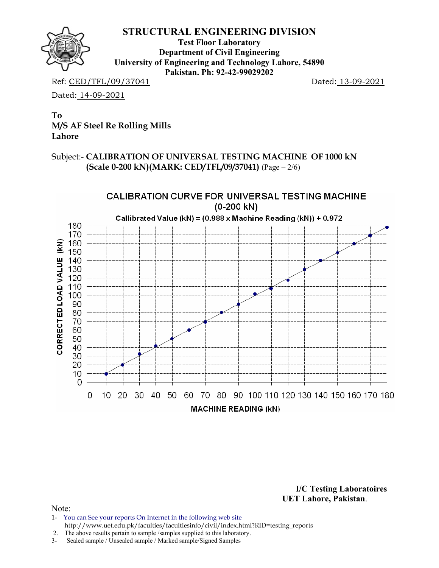

**Test Floor Laboratory Department of Civil Engineering University of Engineering and Technology Lahore, 54890 Pakistan. Ph: 92-42-99029202** 

Ref: CED/TFL/09/37041 Dated: 13-09-2021

Dated: 14-09-2021

**To M/S AF Steel Re Rolling Mills Lahore** 

Subject:- **CALIBRATION OF UNIVERSAL TESTING MACHINE OF 1000 kN (Scale 0-200 kN)(MARK: CED/TFL/09/37041)** (Page – 2/6)



**I/C Testing Laboratoires UET Lahore, Pakistan**.

- 1- You can See your reports On Internet in the following web site http://www.uet.edu.pk/faculties/facultiesinfo/civil/index.html?RID=testing\_reports
- 2. The above results pertain to sample /samples supplied to this laboratory.
- 3- Sealed sample / Unsealed sample / Marked sample/Signed Samples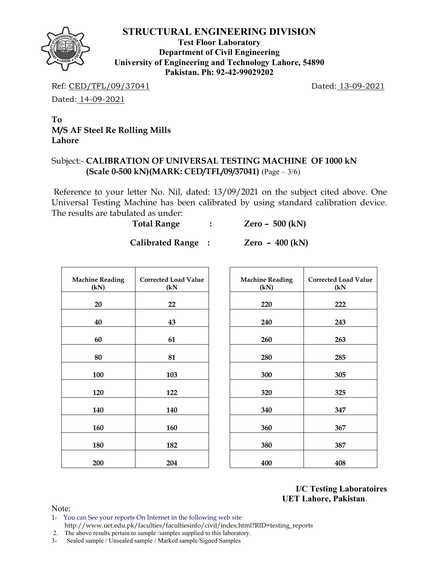

**Test Floor Laboratory Department of Civil Engineering University of Engineering and Technology Lahore, 54890 Pakistan. Ph: 92-42-99029202** 

Ref: CED/TFL/09/37041 Dated: 13-09-2021

Dated: 14-09-2021

# **To M/S AF Steel Re Rolling Mills Lahore**

## Subject:- **CALIBRATION OF UNIVERSAL TESTING MACHINE OF 1000 kN (Scale 0-500 kN)(MARK: CED/TFL/09/37041)** (Page – 3/6)

Reference to your letter No. Nil, dated: 13/09/2021 on the subject cited above. One Universal Testing Machine has been calibrated by using standard calibration device. The results are tabulated as under:

**Total Range : Zero – 500 (kN)** 

**Calibrated Range : Zero – 400 (kN)** 

| <b>Machine Reading</b> | <b>Corrected Load Value</b> | <b>Machine Reading</b> | Corrected Loa |
|------------------------|-----------------------------|------------------------|---------------|
| (kN)                   | (kN)                        | (kN)                   | (kN)          |
|                        |                             |                        |               |
| 20                     | 22                          | 220                    | 222           |
|                        |                             |                        |               |
| 40                     | 43                          | 240                    | 243           |
|                        |                             |                        |               |
| 60                     | 61                          | 260                    | 263           |
|                        |                             |                        |               |
| 80                     | 81                          | 280                    | 285           |
|                        |                             |                        |               |
| 100                    | 103                         | 300                    | 305           |
|                        |                             |                        |               |
| 120                    | 122                         | 320                    | 325           |
|                        |                             |                        |               |
| 140                    | 140                         | 340                    | 347           |
|                        |                             |                        |               |
| 160                    | 160                         | 360                    | 367           |
|                        |                             |                        |               |
| 180                    | 182                         | 380                    | 387           |
|                        |                             |                        |               |
| 200                    | 204                         | 400                    | 408           |
|                        |                             |                        |               |

| e Reading<br>kN) | <b>Corrected Load Value</b><br>(kN) | <b>Machine Reading</b><br>(kN) | <b>Corrected Load Value</b><br>(kN) |
|------------------|-------------------------------------|--------------------------------|-------------------------------------|
| 20               | 22                                  | 220                            | 222                                 |
| 40               | 43                                  | 240                            | 243                                 |
| 60               | 61                                  | 260                            | 263                                 |
| 80               | 81                                  | 280                            | 285                                 |
| 100              | 103                                 | 300                            | 305                                 |
| 120              | 122                                 | 320                            | 325                                 |
| <b>140</b>       | 140                                 | 340                            | 347                                 |
| L60              | 160                                 | 360                            | 367                                 |
| <b>180</b>       | 182                                 | 380                            | 387                                 |
| ነበበ              | 204                                 | 400                            | 408                                 |

**I/C Testing Laboratoires UET Lahore, Pakistan**.

Note:

1- You can See your reports On Internet in the following web site http://www.uet.edu.pk/faculties/facultiesinfo/civil/index.html?RID=testing\_reports

2. The above results pertain to sample /samples supplied to this laboratory.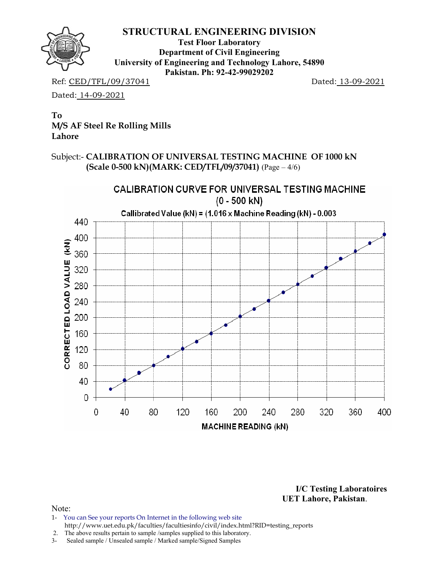

**Test Floor Laboratory Department of Civil Engineering University of Engineering and Technology Lahore, 54890 Pakistan. Ph: 92-42-99029202** 

Ref: CED/TFL/09/37041 Dated: 13-09-2021

Dated: 14-09-2021

**To M/S AF Steel Re Rolling Mills Lahore** 

Subject:- **CALIBRATION OF UNIVERSAL TESTING MACHINE OF 1000 kN (Scale 0-500 kN)(MARK: CED/TFL/09/37041)** (Page – 4/6)



**I/C Testing Laboratoires UET Lahore, Pakistan**.

- 1- You can See your reports On Internet in the following web site http://www.uet.edu.pk/faculties/facultiesinfo/civil/index.html?RID=testing\_reports
- 2. The above results pertain to sample /samples supplied to this laboratory.
- 3- Sealed sample / Unsealed sample / Marked sample/Signed Samples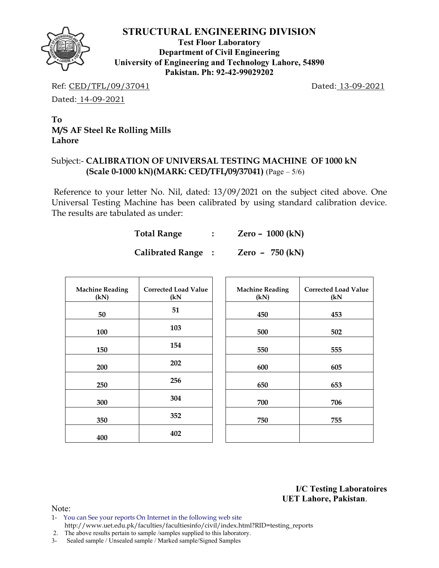**Test Floor Laboratory Department of Civil Engineering University of Engineering and Technology Lahore, 54890 Pakistan. Ph: 92-42-99029202** 

Ref: CED/TFL/09/37041 Dated: 13-09-2021

Dated: 14-09-2021

# **To M/S AF Steel Re Rolling Mills Lahore**

## Subject:- **CALIBRATION OF UNIVERSAL TESTING MACHINE OF 1000 kN (Scale 0-1000 kN)(MARK: CED/TFL/09/37041)** (Page – 5/6)

Reference to your letter No. Nil, dated: 13/09/2021 on the subject cited above. One Universal Testing Machine has been calibrated by using standard calibration device. The results are tabulated as under:

| <b>Total Range</b> |  |  | Zero - 1000 (kN) |
|--------------------|--|--|------------------|
|--------------------|--|--|------------------|

| <b>Machine Reading</b><br>(kN) | <b>Corrected Load Value</b><br>(kN) | <b>Machine Reading</b><br>(kN) | <b>Corrected Load Value</b><br>(kN) |
|--------------------------------|-------------------------------------|--------------------------------|-------------------------------------|
| 50                             | 51                                  | 450                            | 453                                 |
| 100                            | 103                                 | 500                            | 502                                 |
| 150                            | 154                                 | 550                            | 555                                 |
| 200                            | 202                                 | 600                            | 605                                 |
| 250                            | 256                                 | 650                            | 653                                 |
| 300                            | 304                                 | 700                            | 706                                 |
| 350                            | 352                                 | 750                            | 755                                 |
| 400                            | 402                                 |                                |                                     |

**Calibrated Range : Zero – 750 (kN)** 

**I/C Testing Laboratoires UET Lahore, Pakistan**.

Note:

1- You can See your reports On Internet in the following web site http://www.uet.edu.pk/faculties/facultiesinfo/civil/index.html?RID=testing\_reports

2. The above results pertain to sample /samples supplied to this laboratory.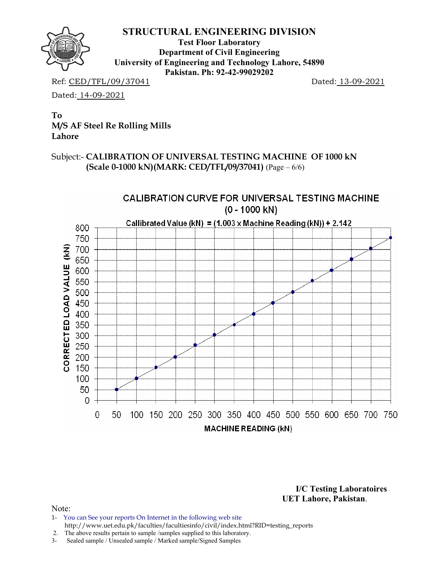

**Test Floor Laboratory Department of Civil Engineering University of Engineering and Technology Lahore, 54890 Pakistan. Ph: 92-42-99029202** 

Ref: CED/TFL/09/37041 Dated: 13-09-2021

Dated: 14-09-2021

**To M/S AF Steel Re Rolling Mills Lahore** 

Subject:- **CALIBRATION OF UNIVERSAL TESTING MACHINE OF 1000 kN (Scale 0-1000 kN)(MARK: CED/TFL/09/37041)** (Page – 6/6)



**I/C Testing Laboratoires UET Lahore, Pakistan**.

- 1- You can See your reports On Internet in the following web site http://www.uet.edu.pk/faculties/facultiesinfo/civil/index.html?RID=testing\_reports
- 2. The above results pertain to sample /samples supplied to this laboratory.
- 3- Sealed sample / Unsealed sample / Marked sample/Signed Samples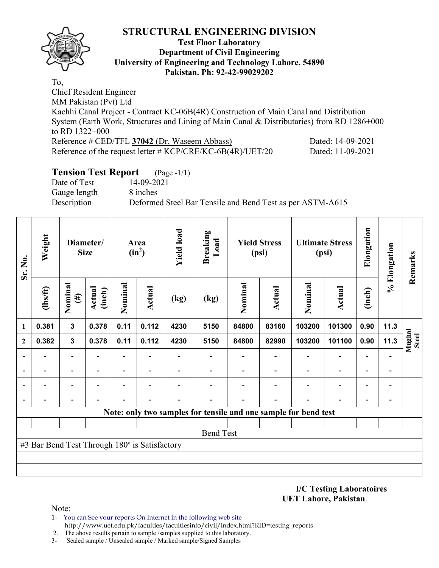

#### **Test Floor Laboratory Department of Civil Engineering University of Engineering and Technology Lahore, 54890 Pakistan. Ph: 92-42-99029202**

To, Chief Resident Engineer MM Pakistan (Pvt) Ltd Kachhi Canal Project - Contract KC-06B(4R) Construction of Main Canal and Distribution System (Earth Work, Structures and Lining of Main Canal & Distributaries) from RD 1286+000 to RD 1322+000 Reference # CED/TFL 37042 (Dr. Waseem Abbass) Dated: 14-09-2021 Reference of the request letter # KCP/CRE/KC-6B(4R)/UET/20 Dated: 11-09-2021

# **Tension Test Report** (Page -1/1)

Date of Test 14-09-2021 Gauge length 8 inches

Description Deformed Steel Bar Tensile and Bend Test as per ASTM-A615

| Sr. No. | Weight                                        | Diameter/<br><b>Size</b>     |                  | Area<br>$(in^2)$         |                          | <b>Yield load</b> | <b>Breaking</b><br>Load                                         | <b>Yield Stress</b><br>(psi) |               | <b>Ultimate Stress</b><br>(psi) |                          | Elongation               | % Elongation                 | Remarks                |
|---------|-----------------------------------------------|------------------------------|------------------|--------------------------|--------------------------|-------------------|-----------------------------------------------------------------|------------------------------|---------------|---------------------------------|--------------------------|--------------------------|------------------------------|------------------------|
|         | $\frac{2}{10}$                                | Nominal<br>$(\#)$            | Actual<br>(inch) | Nominal                  | Actual                   | (kg)              | (kg)                                                            | Nominal                      | <b>Actual</b> | Nominal                         | <b>Actual</b>            | (inch)                   |                              |                        |
| 1       | 0.381                                         | $\mathbf{3}$                 | 0.378            | 0.11                     | 0.112                    | 4230              | 5150                                                            | 84800                        | 83160         | 103200                          | 101300                   | 0.90                     | 11.3                         |                        |
| 2       | 0.382                                         | $\mathbf{3}$                 | 0.378            | 0.11                     | 0.112                    | 4230              | 5150                                                            | 84800                        | 82990         | 103200                          | 101100                   | 0.90                     | 11.3                         | Mughal<br><b>Steel</b> |
|         |                                               | $\overline{\phantom{0}}$     |                  | Ξ.                       |                          |                   |                                                                 |                              |               |                                 |                          |                          |                              |                        |
|         | $\overline{\phantom{0}}$                      | $\qquad \qquad \blacksquare$ | -                | $\overline{\phantom{0}}$ | $\overline{\phantom{a}}$ |                   | Ξ.                                                              |                              |               |                                 | $\overline{\phantom{0}}$ | $\overline{\phantom{0}}$ | $\qquad \qquad \blacksquare$ |                        |
|         |                                               | $\overline{\phantom{0}}$     |                  | -                        |                          |                   |                                                                 |                              |               |                                 | $\overline{\phantom{0}}$ | $\overline{\phantom{0}}$ | -                            |                        |
|         |                                               | $\overline{\phantom{0}}$     |                  |                          |                          |                   |                                                                 |                              |               |                                 |                          |                          | $\overline{a}$               |                        |
|         |                                               |                              |                  |                          |                          |                   | Note: only two samples for tensile and one sample for bend test |                              |               |                                 |                          |                          |                              |                        |
|         |                                               |                              |                  |                          |                          |                   |                                                                 |                              |               |                                 |                          |                          |                              |                        |
|         |                                               |                              |                  |                          |                          |                   | <b>Bend Test</b>                                                |                              |               |                                 |                          |                          |                              |                        |
|         | #3 Bar Bend Test Through 180° is Satisfactory |                              |                  |                          |                          |                   |                                                                 |                              |               |                                 |                          |                          |                              |                        |
|         |                                               |                              |                  |                          |                          |                   |                                                                 |                              |               |                                 |                          |                          |                              |                        |
|         |                                               |                              |                  |                          |                          |                   |                                                                 |                              |               |                                 |                          |                          |                              |                        |

**I/C Testing Laboratoires UET Lahore, Pakistan**.

Note:

1- You can See your reports On Internet in the following web site http://www.uet.edu.pk/faculties/facultiesinfo/civil/index.html?RID=testing\_reports

2. The above results pertain to sample /samples supplied to this laboratory.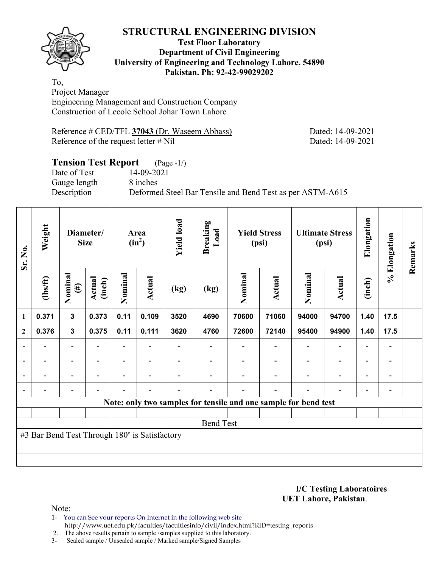**Test Floor Laboratory Department of Civil Engineering University of Engineering and Technology Lahore, 54890 Pakistan. Ph: 92-42-99029202** 

To, Project Manager Engineering Management and Construction Company Construction of Lecole School Johar Town Lahore

Reference # CED/TFL **37043** (Dr. Waseem Abbass) Dated: 14-09-2021 Reference of the request letter # Nil Dated: 14-09-2021

## **Tension Test Report** (Page -1/) Date of Test 14-09-2021 Gauge length 8 inches Description Deformed Steel Bar Tensile and Bend Test as per ASTM-A615

| Sr. No.          | Weight<br>Diameter/<br><b>Size</b>            |                          | Area<br>$(in^2)$ |         | <b>Yield load</b>        | <b>Breaking</b><br>Load | <b>Yield Stress</b><br>(psi) |         | <b>Ultimate Stress</b><br>(psi) |                                                                 | Elongation               | % Elongation             | Remarks                      |  |
|------------------|-----------------------------------------------|--------------------------|------------------|---------|--------------------------|-------------------------|------------------------------|---------|---------------------------------|-----------------------------------------------------------------|--------------------------|--------------------------|------------------------------|--|
|                  | $\frac{2}{10}$                                | Nominal<br>$(\#)$        | Actual<br>(inch) | Nominal | Actual                   | (kg)                    | (kg)                         | Nominal | <b>Actual</b>                   | Nominal                                                         | <b>Actual</b>            | (inch)                   |                              |  |
| 1                | 0.371                                         | $\mathbf{3}$             | 0.373            | 0.11    | 0.109                    | 3520                    | 4690                         | 70600   | 71060                           | 94000                                                           | 94700                    | 1.40                     | 17.5                         |  |
| $\boldsymbol{2}$ | 0.376                                         | $\mathbf{3}$             | 0.375            | 0.11    | 0.111                    | 3620                    | 4760                         | 72600   | 72140                           | 95400                                                           | 94900                    | 1.40                     | 17.5                         |  |
|                  |                                               | $\overline{\phantom{0}}$ |                  |         |                          |                         |                              |         |                                 |                                                                 | $\overline{\phantom{0}}$ | $\overline{\phantom{0}}$ |                              |  |
| $\blacksquare$   | $\blacksquare$                                | $\overline{\phantom{a}}$ |                  |         | $\blacksquare$           |                         |                              |         |                                 |                                                                 | $\overline{\phantom{0}}$ | $\overline{\phantom{0}}$ | $\blacksquare$               |  |
| $\blacksquare$   | -                                             | Ξ.                       |                  |         |                          |                         |                              |         |                                 | ۰                                                               | $\blacksquare$           | $\overline{\phantom{0}}$ | $\overline{\phantom{0}}$     |  |
|                  |                                               | $\overline{a}$           |                  |         | $\overline{\phantom{a}}$ |                         |                              |         |                                 | $\blacksquare$                                                  | $\overline{a}$           | -                        | $\qquad \qquad \blacksquare$ |  |
|                  |                                               |                          |                  |         |                          |                         |                              |         |                                 | Note: only two samples for tensile and one sample for bend test |                          |                          |                              |  |
|                  |                                               |                          |                  |         |                          |                         |                              |         |                                 |                                                                 |                          |                          |                              |  |
|                  |                                               |                          |                  |         |                          |                         | <b>Bend Test</b>             |         |                                 |                                                                 |                          |                          |                              |  |
|                  | #3 Bar Bend Test Through 180° is Satisfactory |                          |                  |         |                          |                         |                              |         |                                 |                                                                 |                          |                          |                              |  |
|                  |                                               |                          |                  |         |                          |                         |                              |         |                                 |                                                                 |                          |                          |                              |  |
|                  |                                               |                          |                  |         |                          |                         |                              |         |                                 |                                                                 |                          |                          |                              |  |

**I/C Testing Laboratoires UET Lahore, Pakistan**.

Note:

1- You can See your reports On Internet in the following web site http://www.uet.edu.pk/faculties/facultiesinfo/civil/index.html?RID=testing\_reports

2. The above results pertain to sample /samples supplied to this laboratory.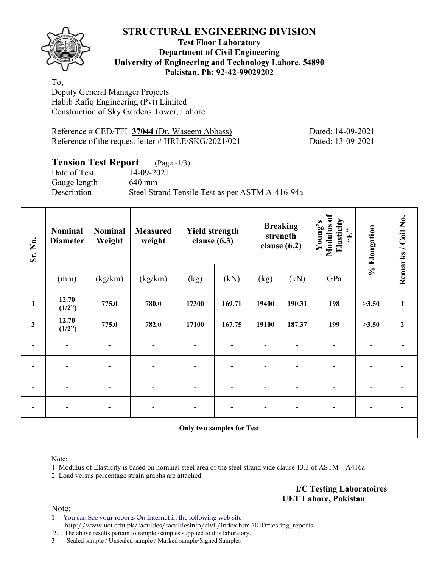

#### **Test Floor Laboratory Department of Civil Engineering University of Engineering and Technology Lahore, 54890 Pakistan. Ph: 92-42-99029202**

To, Deputy General Manager Projects Habib Rafiq Engineering (Pvt) Limited Construction of Sky Gardens Tower, Lahore

Reference # CED/TFL 37044 (Dr. Waseem Abbass) Dated: 14-09-2021 Reference of the request letter # HRLE/SKG/2021/021 Dated: 13-09-2021

# **Tension Test Report** (Page -1/3)

Date of Test 14-09-2021 Gauge length 640 mm

Description Steel Strand Tensile Test as per ASTM A-416-94a

| Sr. No.                  | <b>Nominal</b><br><b>Diameter</b> | <b>Nominal</b><br><b>Measured</b><br>Weight<br>weight |                          | <b>Yield strength</b><br>clause $(6.3)$ |        | <b>Breaking</b><br>strength<br>clause $(6.2)$ |        | Modulus of<br>Elasticity<br>Young's<br>$\mathbf{H}$ , | % Elongation | Remarks / Coil No. |  |
|--------------------------|-----------------------------------|-------------------------------------------------------|--------------------------|-----------------------------------------|--------|-----------------------------------------------|--------|-------------------------------------------------------|--------------|--------------------|--|
|                          | (mm)                              | (kg/km)                                               | (kg/km)                  | (kg)                                    | (kN)   | (kg)                                          | (kN)   | GPa                                                   |              |                    |  |
| $\mathbf{1}$             | 12.70<br>(1/2")                   | 775.0                                                 | 780.0                    | 17300                                   | 169.71 | 19400                                         | 190.31 | 198                                                   | >3.50        | $\mathbf{1}$       |  |
| $\boldsymbol{2}$         | 12.70<br>(1/2")                   | 775.0                                                 | 782.0                    | 17100                                   | 167.75 | 19100                                         | 187.37 | 199                                                   | >3.50        | $\overline{2}$     |  |
| $\overline{\phantom{0}}$ | $\overline{\phantom{a}}$          | $\blacksquare$                                        | $\overline{\phantom{0}}$ | $\qquad \qquad \blacksquare$            |        |                                               |        |                                                       |              |                    |  |
| $\overline{\phantom{a}}$ | $\overline{\phantom{a}}$          | $\blacksquare$                                        | $\overline{\phantom{0}}$ | $\qquad \qquad \blacksquare$            |        | $\overline{\phantom{0}}$                      |        | $\overline{\phantom{0}}$                              |              |                    |  |
|                          |                                   |                                                       |                          |                                         |        |                                               |        |                                                       |              |                    |  |
| $\blacksquare$           | $\overline{\phantom{0}}$          | $\blacksquare$                                        | $\blacksquare$           | $\qquad \qquad \blacksquare$            |        |                                               |        | -                                                     |              |                    |  |
|                          | <b>Only two samples for Test</b>  |                                                       |                          |                                         |        |                                               |        |                                                       |              |                    |  |

Note:

1. Modulus of Elasticity is based on nominal steel area of the steel strand vide clause 13.3 of ASTM – A416a

2. Load versus percentage strain graphs are attached

**I/C Testing Laboratoires UET Lahore, Pakistan**.

Note:

1- You can See your reports On Internet in the following web site http://www.uet.edu.pk/faculties/facultiesinfo/civil/index.html?RID=testing\_reports

2. The above results pertain to sample /samples supplied to this laboratory.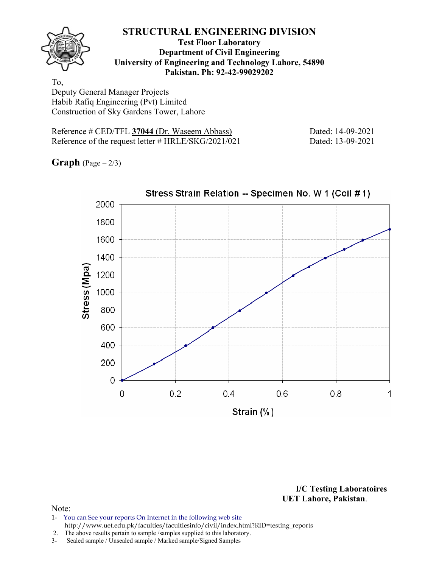

#### **Test Floor Laboratory Department of Civil Engineering University of Engineering and Technology Lahore, 54890 Pakistan. Ph: 92-42-99029202**

To, Deputy General Manager Projects Habib Rafiq Engineering (Pvt) Limited Construction of Sky Gardens Tower, Lahore

Reference # CED/TFL 37044 (Dr. Waseem Abbass) Dated: 14-09-2021 Reference of the request letter # HRLE/SKG/2021/021 Dated: 13-09-2021

**Graph**  $(Page - 2/3)$ 



**I/C Testing Laboratoires UET Lahore, Pakistan**.

- 1- You can See your reports On Internet in the following web site http://www.uet.edu.pk/faculties/facultiesinfo/civil/index.html?RID=testing\_reports
- 2. The above results pertain to sample /samples supplied to this laboratory.
- 3- Sealed sample / Unsealed sample / Marked sample/Signed Samples